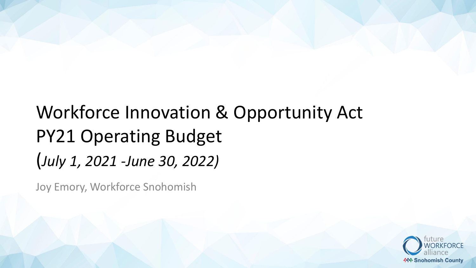# Workforce Innovation & Opportunity Act PY21 Operating Budget (*July 1, 2021 -June 30, 2022)*

Joy Emory, Workforce Snohomish

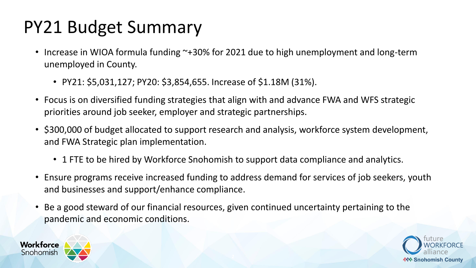## PY21 Budget Summary

- Increase in WIOA formula funding ~+30% for 2021 due to high unemployment and long-term unemployed in County.
	- PY21: \$5,031,127; PY20: \$3,854,655. Increase of \$1.18M (31%).
- Focus is on diversified funding strategies that align with and advance FWA and WFS strategic priorities around job seeker, employer and strategic partnerships.
- \$300,000 of budget allocated to support research and analysis, workforce system development, and FWA Strategic plan implementation.
	- 1 FTE to be hired by Workforce Snohomish to support data compliance and analytics.
- Ensure programs receive increased funding to address demand for services of job seekers, youth and businesses and support/enhance compliance.
- Be a good steward of our financial resources, given continued uncertainty pertaining to the pandemic and economic conditions.



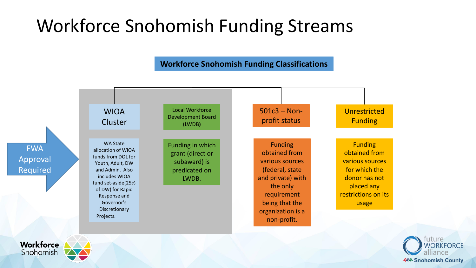## Workforce Snohomish Funding Streams



**Snohomish** 

**Workforce** 

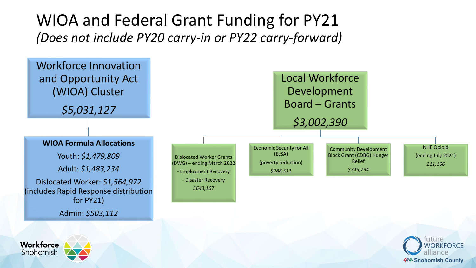### WIOA and Federal Grant Funding for PY21 *(Does not include PY20 carry-in or PY22 carry-forward)*







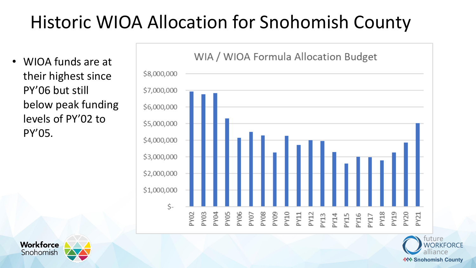## Historic WIOA Allocation for Snohomish County

• WIOA funds are at their highest since PY'06 but still below peak funding levels of PY'02 to PY'05.





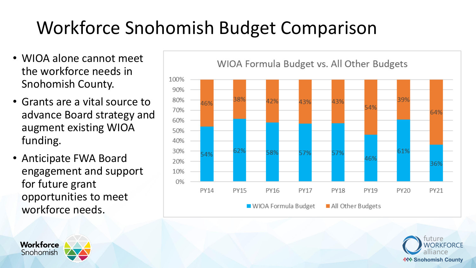## Workforce Snohomish Budget Comparison

- WIOA alone cannot meet the workforce needs in Snohomish County.
- Grants are a vital source to advance Board strategy and augment existing WIOA funding.
- Anticipate FWA Board engagement and support for future grant opportunities to meet workforce needs.







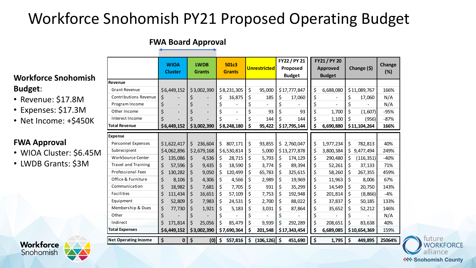## Workforce Snohomish PY21 Proposed Operating Budget

#### **FWA Board Approval**

### **Workforce Snohomish Budget**:

- Revenue: \$17.8M
- Expenses: \$17.3M
- Net Income: +\$450K

#### **FWA Approval**

- WIOA Cluster: \$6.45M
- LWDB Grants: \$3M

|                              | <b>WIOA</b><br><b>Cluster</b> | <b>LWDB</b><br><b>Grants</b> | <b>501c3</b><br><b>Grants</b> | <b>Unrestricted</b> | FY22 / PY 21<br>Proposed<br><b>Budget</b> | FY21 / PY 20<br><b>Approved</b><br><b>Budget</b> | Change $($ \$)   | Change<br>(%) |
|------------------------------|-------------------------------|------------------------------|-------------------------------|---------------------|-------------------------------------------|--------------------------------------------------|------------------|---------------|
| Revenue                      |                               |                              |                               |                     |                                           |                                                  |                  |               |
| <b>Grant Revenue</b>         | \$6,449,152                   | \$3,002,390                  | \$8,231,305                   | \$<br>95,000        | \$17,777,847                              | \$<br>6,688,080                                  | \$11,089,767     | 166%          |
| <b>Contributions Revenue</b> | \$                            | \$                           | \$<br>16,875                  | \$<br>185           | \$<br>17,060                              | \$                                               | \$<br>17,060     | N/A           |
| Program Income               | \$                            | \$                           | \$                            | \$                  | \$                                        | \$                                               | \$               | N/A           |
| Other Income                 | \$                            | \$                           | \$                            | \$<br>93            | \$<br>93                                  | \$<br>1,700                                      | \$<br>(1,607)    | $-95%$        |
| Interest Income              | \$                            |                              |                               | \$<br>144           | \$<br>144                                 | \$<br>1,100                                      | \$<br>(956)      | $-87%$        |
| <b>Total Revenue</b>         | \$6,449,152                   | \$3,002,390                  | \$8,248,180                   | \$<br>95,422        | \$17,795,144                              | 6,690,880                                        | \$11,104,264     | 166%          |
| <b>Expense</b>               |                               |                              |                               |                     |                                           |                                                  |                  |               |
| Personnel Expenses           | \$1,622,417                   | \$<br>236,604                | \$<br>807,171                 | \$<br>93,855        | \$2,760,047                               | \$<br>1,977,234                                  | \$<br>782,813    | 40%           |
| Subrecipient                 | \$4,062,896                   | \$2,679,168                  | \$6,530,814                   | \$<br>5,000         | \$13,277,878                              | \$<br>3,800,384                                  | \$<br>9,477,494  | 249%          |
| <b>WorkSource Center</b>     | Ś<br>135,086                  | 4,536<br>Ş                   | 28,715<br>\$.                 | \$<br>5,793         | \$<br>174,129                             | \$<br>290,480                                    | \$<br>(116, 351) | $-40%$        |
| Travel and Training          | \$<br>57,596                  | \$<br>9,435                  | \$<br>18,590                  | \$<br>3,774         | \$<br>89,394                              | \$<br>52,261                                     | \$<br>37,133     | 71%           |
| <b>Professional Fees</b>     | \$<br>130,282                 | \$<br>9,050                  | \$<br>120,499                 | \$<br>65,783        | \$<br>325,615                             | \$<br>58,260                                     | \$<br>267,355    | 459%          |
| Office & Furniture           | \$<br>8,106                   | \$<br>4,306                  | \$<br>4,566                   | \$<br>2,989         | \$<br>19,969                              | \$<br>11,963                                     | \$<br>8,006      | 67%           |
| Communication                | \$<br>18,982                  | \$<br>7,681                  | \$<br>7,705                   | \$<br>931           | \$<br>35,299                              | \$<br>14,549                                     | \$<br>20,750     | 143%          |
| Facilities                   | \$<br>111,434                 | \$<br>16,651                 | \$<br>57,109                  | \$<br>7,753         | \$<br>192,948                             | \$<br>201,814                                    | \$<br>(8,866)    | $-4%$         |
| Equipment                    | \$<br>52,809                  | \$<br>7,983                  | \$<br>24,531                  | \$<br>2,700         | \$<br>88,022                              | \$<br>37,837                                     | \$<br>50,185     | 133%          |
| Membership & Dues            | \$<br>77,730                  | \$<br>1,921                  | \$<br>5,183                   | \$<br>3,031         | \$<br>87,864                              | \$<br>35,652                                     | \$<br>52,212     | 146%          |
| Other                        | \$                            | Ś                            |                               | \$                  | \$                                        | \$                                               | \$               | N/A           |
| Indirect                     | \$<br>171,814                 | \$<br>25,056                 | 85,479                        | \$<br>9,939         | \$<br>292,289                             | \$<br>208,651                                    | \$<br>83,638     | 40%           |
| <b>Total Expenses</b>        | \$6,449,152                   | \$3,002,390                  | \$7,690,364                   | \$<br>201,548       | \$17,343,454                              | \$<br>6,689,085                                  | \$10,654,369     | 159%          |
| <b>Net Operating Income</b>  | \$<br>0                       | \$<br>(0)                    | \$<br>557,816                 | \$<br>(106, 126)    | $\dot{\mathsf{s}}$<br>451,690             | \$<br>1,795                                      | \$<br>449,895    | 25064%        |



uture **NORKEORCE 444 Snohomish County**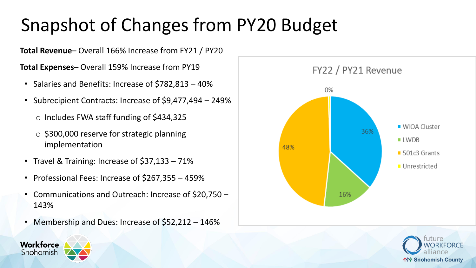## Snapshot of Changes from PY20 Budget

**Total Revenue**– Overall 166% Increase from FY21 / PY20

**Total Expenses**– Overall 159% Increase from PY19

- Salaries and Benefits: Increase of \$782,813 40%
- Subrecipient Contracts: Increase of \$9,477,494 249%
	- o Includes FWA staff funding of \$434,325
	- o \$300,000 reserve for strategic planning implementation
- Travel & Training: Increase of \$37,133 71%
- Professional Fees: Increase of \$267,355 459%
- Communications and Outreach: Increase of \$20,750 143%
- Membership and Dues: Increase of \$52,212 146%